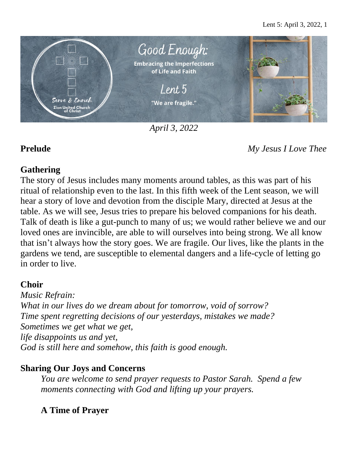

*April 3, 2022*

**Prelude** *My Jesus I Love Thee*

#### **Gathering**

The story of Jesus includes many moments around tables, as this was part of his ritual of relationship even to the last. In this fifth week of the Lent season, we will hear a story of love and devotion from the disciple Mary, directed at Jesus at the table. As we will see, Jesus tries to prepare his beloved companions for his death. Talk of death is like a gut-punch to many of us; we would rather believe we and our loved ones are invincible, are able to will ourselves into being strong. We all know that isn't always how the story goes. We are fragile. Our lives, like the plants in the gardens we tend, are susceptible to elemental dangers and a life-cycle of letting go in order to live.

## **Choir**

*Music Refrain: What in our lives do we dream about for tomorrow, void of sorrow? Time spent regretting decisions of our yesterdays, mistakes we made? Sometimes we get what we get, life disappoints us and yet, God is still here and somehow, this faith is good enough.*

## **Sharing Our Joys and Concerns**

*You are welcome to send prayer requests to Pastor Sarah. Spend a few moments connecting with God and lifting up your prayers.*

# **A Time of Prayer**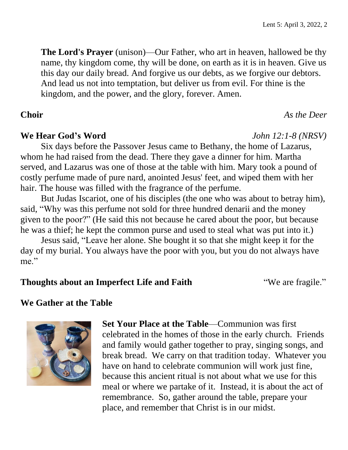**The Lord's Prayer** (unison)—Our Father, who art in heaven, hallowed be thy name, thy kingdom come, thy will be done, on earth as it is in heaven. Give us this day our daily bread. And forgive us our debts, as we forgive our debtors. And lead us not into temptation, but deliver us from evil. For thine is the kingdom, and the power, and the glory, forever. Amen.

#### **Choir** *As the Deer*

#### **We Hear God's Word** *John 12:1-8 (NRSV)*

Six days before the Passover Jesus came to Bethany, the home of Lazarus, whom he had raised from the dead. There they gave a dinner for him. Martha served, and Lazarus was one of those at the table with him. Mary took a pound of costly perfume made of pure nard, anointed Jesus' feet, and wiped them with her hair. The house was filled with the fragrance of the perfume.

But Judas Iscariot, one of his disciples (the one who was about to betray him), said, "Why was this perfume not sold for three hundred denarii and the money given to the poor?" (He said this not because he cared about the poor, but because he was a thief; he kept the common purse and used to steal what was put into it.)

Jesus said, "Leave her alone. She bought it so that she might keep it for the day of my burial. You always have the poor with you, but you do not always have me."

#### **Thoughts about an Imperfect Life and Faith <b>Thoughts** about an **Imperfect** Life and Faith **Theorem Theorem Theorem Theorem Theorem Theorem Theorem Theorem Theorem Theorem Theorem Theorem Theorem**

#### **We Gather at the Table**



**Set Your Place at the Table**—Communion was first celebrated in the homes of those in the early church. Friends and family would gather together to pray, singing songs, and break bread. We carry on that tradition today. Whatever you have on hand to celebrate communion will work just fine, because this ancient ritual is not about what we use for this meal or where we partake of it. Instead, it is about the act of remembrance. So, gather around the table, prepare your place, and remember that Christ is in our midst.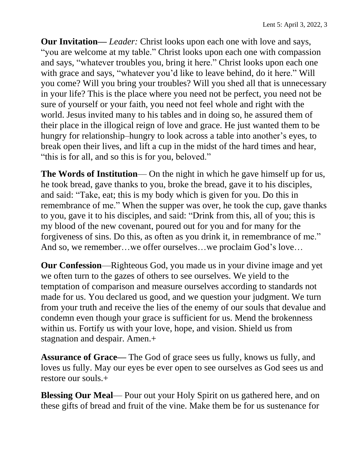**Our Invitation—** *Leader:* Christ looks upon each one with love and says, "you are welcome at my table." Christ looks upon each one with compassion and says, "whatever troubles you, bring it here." Christ looks upon each one with grace and says, "whatever you'd like to leave behind, do it here." Will you come? Will you bring your troubles? Will you shed all that is unnecessary in your life? This is the place where you need not be perfect, you need not be sure of yourself or your faith, you need not feel whole and right with the world. Jesus invited many to his tables and in doing so, he assured them of their place in the illogical reign of love and grace. He just wanted them to be hungry for relationship–hungry to look across a table into another's eyes, to break open their lives, and lift a cup in the midst of the hard times and hear, "this is for all, and so this is for you, beloved."

**The Words of Institution**— On the night in which he gave himself up for us, he took bread, gave thanks to you, broke the bread, gave it to his disciples, and said: "Take, eat; this is my body which is given for you. Do this in remembrance of me." When the supper was over, he took the cup, gave thanks to you, gave it to his disciples, and said: "Drink from this, all of you; this is my blood of the new covenant, poured out for you and for many for the forgiveness of sins. Do this, as often as you drink it, in remembrance of me." And so, we remember…we offer ourselves…we proclaim God's love…

**Our Confession**—Righteous God, you made us in your divine image and yet we often turn to the gazes of others to see ourselves. We yield to the temptation of comparison and measure ourselves according to standards not made for us. You declared us good, and we question your judgment. We turn from your truth and receive the lies of the enemy of our souls that devalue and condemn even though your grace is sufficient for us. Mend the brokenness within us. Fortify us with your love, hope, and vision. Shield us from stagnation and despair. Amen.+

**Assurance of Grace—** The God of grace sees us fully, knows us fully, and loves us fully. May our eyes be ever open to see ourselves as God sees us and restore our souls.+

**Blessing Our Meal**— Pour out your Holy Spirit on us gathered here, and on these gifts of bread and fruit of the vine. Make them be for us sustenance for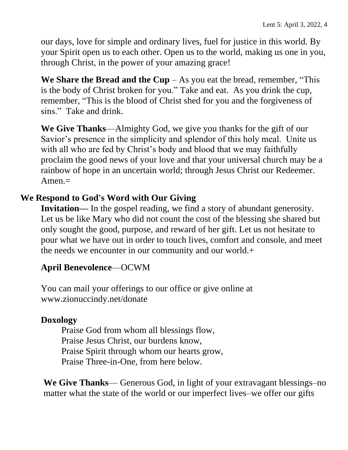our days, love for simple and ordinary lives, fuel for justice in this world. By your Spirit open us to each other. Open us to the world, making us one in you, through Christ, in the power of your amazing grace!

**We Share the Bread and the Cup** – As you eat the bread, remember, "This is the body of Christ broken for you." Take and eat. As you drink the cup, remember, "This is the blood of Christ shed for you and the forgiveness of sins." Take and drink.

**We Give Thanks**—Almighty God, we give you thanks for the gift of our Savior's presence in the simplicity and splendor of this holy meal. Unite us with all who are fed by Christ's body and blood that we may faithfully proclaim the good news of your love and that your universal church may be a rainbow of hope in an uncertain world; through Jesus Christ our Redeemer.  $A$ men. $=$ 

## **We Respond to God's Word with Our Giving**

**Invitation—** In the gospel reading, we find a story of abundant generosity. Let us be like Mary who did not count the cost of the blessing she shared but only sought the good, purpose, and reward of her gift. Let us not hesitate to pour what we have out in order to touch lives, comfort and console, and meet the needs we encounter in our community and our world.+

## **April Benevolence**—OCWM

You can mail your offerings to our office or give online at www.zionuccindy.net/donate

## **Doxology**

Praise God from whom all blessings flow, Praise Jesus Christ, our burdens know, Praise Spirit through whom our hearts grow, Praise Three-in-One, from here below.

**We Give Thanks**— Generous God, in light of your extravagant blessings–no matter what the state of the world or our imperfect lives–we offer our gifts